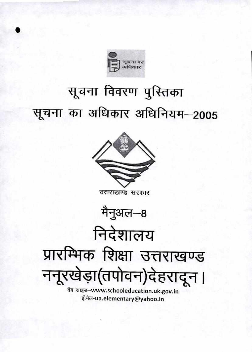

## सूचना विवरण पुस्तिका सूचना का अधिकार अधिनियम-2005



उत्तराखण्ड सरकार



निदेशालय प्रारम्भिक शिक्षा उत्तराखण्ड ननूरखेड़ा(तपोवन)देहरादून।

वैब साइड-www.schooleducation.uk.gov.in ई.मेल-ua.elementary@yahoo.in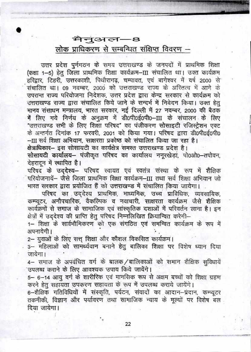मैनुअल—8 लोक प्राधिकरण से सम्बन्धित संक्षिप्त विवरण –

उत्तर प्रदेश पुर्नगठन के समय उत्तराखण्ड के जनपदों में प्राथमिक शिक्षा (कक्षा 1-5) हेतु जिला प्राथमिक शिक्षा कार्यक्रम-III संचालित था। उक्त कार्यक्रम .<br>हरिद्वार, टिहरी, उत्तरकाशी, पिथौरागढ़, चम्पावत, एवं बागेश्वर में वर्ष 2000 से संचालित था। 09 नवम्बर, 2000 को उत्तराखण्ड राज्य के अस्तित्व में आने के उपरान्त राज्य परियोजना निदेशक, उत्तर प्रदेश द्वारा केन्द्र सरकार से कार्यक्रम को उत्तराखण्ड राज्य द्वारा संचालित किये जाने के सन्दर्भ में निवेदन किया। उक्त हेतु मानव संसाधन मन्त्रालय, भारत सरकार, नई दिल्ली में 27 नवम्बर, 2000 की बैठक में लिए गये निर्णय के अनुक्रम में डी0पी0ई0पी0-III के संचालन के लिए "उत्तराखण्ड सभी के लिए शिक्षा परिषद" का पंजीकरण सोसाइटी रजिस्टेशन एक्ट के अन्तर्गत दिनांक 17 फरवरी, 2001 को किया गया। परिषद द्वारा डी0पी0ई0पी0 -III सर्व शिक्षा अभियान, साक्षरता प्रकोष्ठ को संचालित किया जा रहा है। क्षेत्राधिकार- इस सोसायटी का कार्यक्षेत्र समस्त उत्तराखण्ड प्रदेश है।

सोसायटी कार्यालय- पंजीकृत परिषद का कार्यालय ननूरखेड़ां, पो0ओ0-तपोवन, देहरादून में स्थापित है।

परिषद के उद्देश्य- परिषद स्वायत एवं स्वतंत्र संस्था के रूप में शैक्षिक परियोजनायें– जैसे जिला प्राथमिक शिक्षा कार्यक्रम–III तथा सर्व शिक्षा अभियान जो भारत सरकार द्वारा प्रयोजित हैं को उत्तराखण्ड में संचालित किया जायेगा।

परिषद का उद्देश्य प्राथमिक, माध्यमिक, उच्च प्राविधिक, व्यवसायिक, कम्प्यूटर, अनौपचारिक, वैकल्पिक व नवाचारी, साक्षरता कार्यक्रम जैसे शैक्षिक कार्यक्रमों से समाज के सामाजिक एवं सांस्कृतिक दशाओं में परिवर्तन लाना है। इन क्षेत्रों में उद्देश्य की प्राप्ति हेतु परिषद निम्नलिखित क्रियान्वित करेगी-

1- शिक्षा के सार्वभौमिकरण को एक संगठित एवं समन्वित कार्यक्रम के रूप में अपनायेगी।

2- युवाओं के लिए सत्त् शिक्षा और कौशल विकसित कार्यक्रम।

3- महिलाओं को सामर्थ्यवान बनाने हेतु बालिका शिक्षा पर विशेष ध्यान दिया जायेगा।

4– समाज के अपवंचित वर्ग के बालक/बालिकाओं को समान शैक्षिक सुविधायें उपलब्ध कराने के लिए आवश्यक उपाय किये जायेंगे।

5– 6–14 आयु वर्ग के शारीरिक एवं मानसिक रूप से अक्षम बच्चों को शिक्षा ग्रहण करने हेत सहायता उपकरण सहायता के रूप में उपलब्ध कराये जायेंगे।

6-शैक्षिक गतिविधियों में संस्कृति, पर्यटन, संवादों का आदान-प्रदान, कम्प्यूटर तकनीकी, विज्ञान और पर्यावरण तथा सामाजिक न्याय के मूल्यों पर विशेष बल दिया जायेगा।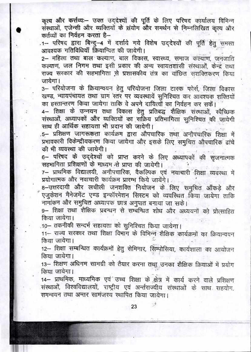कृत्य और कर्त्तव्य:-- उक्त उद्देश्यों की पूर्ति के लिए परिषद कार्यालय विभिन्न संस्थाओं, एजेन्सी और व्यक्तियों के संयोग और समर्थन से निम्नलिखित कृत्य और कर्तव्यों का निर्वहन करता है-

.1- परिषद द्वारा बिन्दू-4 में दर्शाये गये विशेष उद्देश्यों की पूर्ति हेतु समस्त आवश्यक गतिविधियाँ क्रियान्वित की जायेगी।

2- महिला तथा बाल कल्याण, बाल विकास, स्वास्थ्य, समाज कल्याण, जनजाति कल्याण, जल निगम तथा इसी प्रकार की अन्य स्वायतशासी संस्थाओं, केन्द्र तथा राज्य सरकार की सहभागिता से प्रशासकीय तंत्र का वांछित सशक्तिकरण किया जायेगा ।

3- परियोजना के क्रियान्वयन हेतु परियोजना जिला टास्क फोर्स, जिला विकास खण्ड, न्यायपंचायत तथा ग्राम स्तर पर व्यवस्थायें सुनिश्चित कर आवश्यक शक्तियों का हस्तान्तरण किया जायेगा ताकि वे अपने दायित्वों का निर्वहन कर सकें।

4- शिक्षा के उन्नयन तथा विकास हेतु प्रतिबद्ध शैक्षिक संस्थाओं, स्वैच्छिक संस्थाओं, अध्यापकों और व्यक्तियों का सक्रिय प्रतिभागिता सुनिश्चित की जायेगी साथ ही आर्थिक सहायता भी प्रदान की जायेगी।

.5– प्रशिक्षण जागरूकता कार्यक्रम द्वारा औपचारिक तथा अनौपचारिक शिक्षा में प्रभावकारी विकेन्द्रीयकरण किया जायेगा और इसके लिए समुचित औपचारिक ढांचे की भी व्यवस्था की जायेगी।

6- परिषद के उद्देश्यों को प्राप्त करने के लिए अध्यापकों की सृजनात्मक सहभागिता प्रशिक्षणों के माध्यम से प्राप्त की जायेगी।

7- प्राथमिक विद्यालयी, अनौपचारिक, वैकल्पिक एवं नवाचारी शिक्षा व्यवस्था में प्रयोगात्मक और नवाचारी कार्यक्रम प्रारम्भ किये जायेंगे।

8-उत्तरदायी और लचीली जनशक्ति नियोजन के लिए समुचित आँकड़े और एजुकेशन मैनेजमेंट एण्ड इन्फॉरमेशन सिस्टम को व्यवस्थित किया जायेगा ताकि नामांकन और समुचित अध्यापक छात्र अनुपात बनाया जा सके।

9- शिक्षा तथा शैक्षिक प्रबन्धन से सम्बन्धित शोध और अध्ययनों को प्रोत्साहित किया जायेगा।

.10– तकनीकी सन्दर्भ सहायता को सुनिश्चित किया जायेगा।

11- राज्य सरकार तथा शिक्षा विभाग के विभिन्न शैक्षिक कार्यक्रमों का क्रियान्वयन किया जायेगा।

12- शिक्षा सम्बन्धित कार्यक्रमों हेतु सेमिनार, सिम्पोसिया, कार्यशाला का आयोजन किया जायेगा।

13- शिक्षण अधिगम सामग्री को तैयार करना तथा उनका शैक्षिक क्रियाओं में प्रयोग किया जायेगा।

14- प्राथमिक, माध्यमिक एवं उच्च शिक्षा के क्षेत्र में कार्य करने वाले प्रशिक्षण संस्थाओं, विश्वविद्यालयों, राष्ट्रीय एवं अर्न्तराज्यीय संस्थाओं के साथ सहयोग, समन्वयन तथा अन्तर सामंजस्य स्थापित किया जायेगा।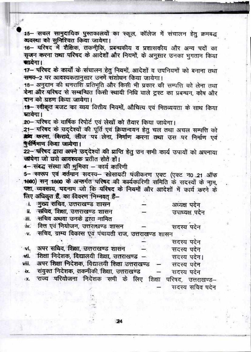15- सचल सामुदायिक पुस्तकालयों का स्कूल, कॉलेज में संचालन हेतु क्रमबद्ध व्यवस्था को सुनिश्चित किया जायेगा।

16- परिषद में शैक्षिक, तकनीकि, प्रबन्धकीय व प्रशासकीय और अन्य पदों का सजन करना तथा परिषद के आदेशों और नियमों, के अनुसार उनका भुगतान किया सायेगा।

17- परिषद के कार्यों के संचालन हेतु नियमों, आदेशों व उपनियमों को बनाना तथा समय-2 पर आवश्यकतानुसार उनमें संशोधन किया जायेगा।

18- अनुदान की धनराशि प्रतिभूति और किसी भी प्रकार की सम्पत्ति को लेना तथा देना और परिषद से सम्बन्धित किसी स्थायी निधि वाले ट्रस्ट का प्रबन्धन, कोष और दान को ग्रहण किया जायेगा।

19- स्वीकृत बजट का व्यय वित्तीय नियमों, औचित्य एवं मितव्ययता के साथ किया खाक्षेण ।

20- परिषद के वार्षिक रिपोर्ट एवं लेखों को तैयार किया जायेगा।

21- परिषद के उद्देश्यों की पूर्ति एवं क्रियान्वयन हेतु चल तथा अचल सम्पत्ति को अर्थ्य करना, किराये, लीज पर लेना, निर्माण करना तथा उस पर निर्माण एवं पर्नर्मिमाण किया जायेगा।

22- परिषद द्वारा अपने उददेश्यों की प्राप्ति हेतु उन सभी कार्य उपायों को अपनाया जयेगा जो छसे आवश्यक प्रतीत होते हों।

4- संबद्ध संस्था की मुमिका - कार्य कारिणी

5- स्वरूप एवं वर्तमान सदस्य- सोसायटी पंजीकरण एक्ट (एक्ट न0 21 ऑफ 1860) सन् 1860 के अन्तर्गत परिषद की कार्यकारिणी समिति के सदस्यों के नाम, पता, व्यवसाय, यदनाम जो कि परिषद के नियमों और आदेशों में कार्य करने के लिए अधिकृत हैं, का विवरण भिम्नवत हैं-

| ा. -मुख्य सचिव, उत्तराखण्ड शासन   | अध्यक्ष पदेन   |
|-----------------------------------|----------------|
| ॥ सचिव, शिक्षा, उत्तराखण्ड शासन   | उपाध्यक्ष पदेन |
| ॥.    सचिव अथवा उनके द्वारा नामित |                |

iv. वित्त एवं नियोजन, उत्तराखण्ड शासन सदस्य पदेन

सचिव, ग्राम्य विकास एवं पंचायती राज, उत्तराखण्ड शासन  $\mathbf{v}$ .

|                                                                 |  | सदस्य पदन  |                   |
|-----------------------------------------------------------------|--|------------|-------------------|
| vi, अपर सचिव, शिक्षा, उत्तराखण्ड शासन                           |  | सदस्य पदेन |                   |
| vii.   शिक्षा निदेशक, विद्यालयी शिक्षा, उत्तराखण्ड  —           |  |            | सदस्य पदेन।       |
| viii.  अपर शिक्षा निदेशक, विद्यालयी शिक्षा उत्तराखण्ड  —        |  | सदस्य पदेन |                   |
| ix. संयुक्त निदेशक, तकनीकी शिक्षा, उत्तराखण्ड                   |  | सदस्य पदेन |                   |
| x. राज्य परियोजना निर्देशक समी के लिए शिक्षा परिषद, उत्तराखण्ड- |  |            |                   |
|                                                                 |  |            | संदररा संचित पटेन |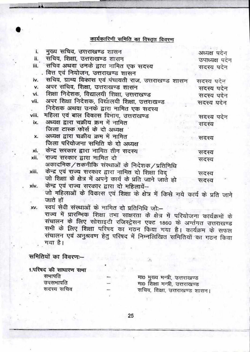## कार्यकारिणी समिति का विस्तृत विवरण

| i.    | मुख्य सचिव, उत्तराखण्ड शासन                                                | अध्यक्ष पदेन   |
|-------|----------------------------------------------------------------------------|----------------|
| ii.   | सचिव, शिक्षा, उत्तराखण्ड शासन                                              | उपाध्यक्ष पदेन |
| iii.  | सचिव अथवा उनके द्वारा नामित एक सदस्य                                       | सदस्य पदेन     |
|       | वित्त एवं नियोजन, उत्तराखण्ड शासन                                          |                |
| iv.   | सचिव, ग्राम्य विकास एवं पंचायती राज, उत्तराखण्ड शासन                       | सदस्य पदेन     |
| v.    | अपर सचिव, शिक्षा, उत्तराखण्ड शासन                                          | सदस्य पदेन     |
| vi.   | शिक्षा निदेशक, विद्यालयी शिक्षा, उत्तराखण्ड                                | सदस्य पदेन     |
| vii.  | अपर शिक्षा निदेशक, विद्यालयी शिक्षा, उत्तराखण्ड                            | सदस्य पदेन     |
|       | निदेशक अथवा उनके द्वारा नामित एक सदस्य                                     |                |
| viii. | महिला एवं बाल विकास विभाग, उत्तराखण्ड                                      | सदस्य पदेन     |
| ix.   | अध्यक्ष द्वारा चक्रीय क्रम में नामित                                       | सदस्य          |
|       | जिला टास्क फोर्स के दो अध्यक्ष                                             |                |
| x.    | अध्यक्ष द्वारा चक्रीय क्रम में नामित                                       | सदस्य          |
|       | जिला परियोजना समिति के दो अध्यक्ष                                          |                |
| xi.   | केन्द्र सरकार द्वारा नामित तीन सदस्य                                       | सदस्य          |
| xii.  | राज्य सरकार द्वारा नामित दो                                                | सदस्य          |
|       | अकादमिक/तकनीकि संस्थाओं के निदेशक/प्रतिनिधि                                |                |
| xiii. | केन्द्र एवं राज्य सरकार द्वारा नामित दो शिक्षा विद                         | सदस्य          |
|       | जो शिक्षा के क्षेत्र में अपने कार्य के प्रति जाने जाते हो                  | सदस्य          |
| xiv.  | केन्द्र एवं राज्य सरकार द्वारा दो महिलायें--                               |                |
|       | जो महिलाओं के विकास एवं शिक्षा के क्षेत्र में किसे गये कार्य के प्रति जाने |                |
|       | जाते हों                                                                   |                |
| xv.   | स्वयं सेवी संस्थाओं के नामित तो प्रतिनिधि जो                               |                |

राज्य में प्रारम्भिक शिक्षा तभा साक्षरता के क्षेत्र में परियोजना कार्यक्रमों के संचालन के लिए सोसाइटी रजिस्ट्रेसन एक्ट 1860 के अर्न्तगत उत्तराखण्ड सभी के लिए शिक्षा परिषद का गठन किया गया है। कार्यक्रम के सफल संचालन एवं अनुश्रवण हेतु परिषद में निम्नलिखित समितियों का गठन किया गया है।

91

समितियों का विवरण:--

1.परिषद की साधारण सभा सभापति

> उपसभापति सदस्य सचिव

मा0 मुख्य मन्त्री, उत्तराखण्ड मा0 शिक्षा मन्त्री, उत्तराखण्ड सचिव, शिक्षा, उत्तराखण्ड शासन।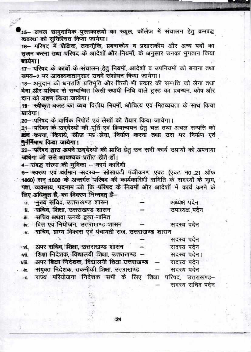15- सचल सामुदायिक पुस्तकालयों का स्कूल, कॉलेज में संचालन हेतु क्रमबद्ध व्यवस्था को सुनिश्चित किया जायेगा।

16- मरिषद में शैक्षिक, तकनीकि, प्रबन्धकीय व प्रशासकीय और अन्य पदों का सजन करना तथा परिषद के आदेशों और नियमों, के अनुसार उनका भुगतान किया सायेगा।

17- परिषद के कार्यों के संचालन हेतु नियमों, आदेशों व उपनियमों को बनाना तथा समय-2 पर आवश्यकतानुसार उनमें संशोधन किया जायेगा।

18- अनुदान की धनराशि प्रतिभूति और किसी भी प्रकार की सम्पत्ति को लेना तथा देना और परिषद से सम्बन्धित किसी स्थायी निधि वाले ट्रस्ट का प्रबन्धन, कोष और दान को ग्रहण किया जायेगा।

19-स्वीकृत बजट का व्यय वित्तीय नियमों, औचित्य एवं मितव्ययता के साथ किया स्ताक्षेपा ।

20- परिषद के वार्षिक रिपोर्ट एवं लेखों को तैयार किया जायेगा।

21- परिषद के उद्देश्यों की पूर्ति एवं क्रियान्वयन हेतु चल तथा अचल सम्पत्ति को डर्ष्य करना, किराये, लीज पर लेना, निर्माण करना तथा उस पर निर्माण एवं पर्ननिमाण किया जायेगा।

22- परिषद द्वारा अपने उद्देश्यों की प्राप्ति हेतु उन सभी कार्य उपायों को अपनाया च्चयेगा जो छसे आवश्यक प्रतीत होते हों।

4- संबद्ध संस्था की भूमिका - कार्य कारिणी

5- स्वरूप एवं वर्तमान सदस्य- सोसायटी मंजीकरण एक्ट (एक्ट न0 21 ऑफ 1860) सन् 1860 के अन्तर्गत परिषद की कार्यकारिणी समिति के सदस्यों के नाम, पता, व्यवसाय, मदनाम जो कि मरिषद के नियमों और आदेशों में कार्य करने के लिए अधिकत हैं. का विक्रण भिम्नवत हैं-

| ा. मुख्य सचिव, उत्तराखण्ड शासन                          | अध्यक्ष पदेन   |
|---------------------------------------------------------|----------------|
| ॥ सचिव, शिक्षा, उत्तराखण्ड शासन                         | उपाध्यक्ष पदेन |
| ा॥.   सचिव अथवा उनके द्वारा नामित                       |                |
| w. वित्त एवं नियोजन, उत्तराखण्ड शासन                    | सदस्य पदेन     |
| ». सचिव, ग्राम्य विकास एवं पंचायती राज, उत्तराखण्ड शासन |                |
|                                                         | सदस्य पदेन     |

| wi, अपर सचिव, शिक्षा, उत्तराखण्ड शासन  —                      | सदस्य पदेन      |
|---------------------------------------------------------------|-----------------|
| wii. शिक्षा निदेशक, विद्यालयी शिक्षा, उत्तराखण्ड -            | सदस्य पदेन।     |
| viii. अपर शिक्षा निदेशक, विद्यालयी शिक्षा उत्तराखण्ड –        | सदस्य पदेन      |
| ix.     संयुक्त निदेशक, तकनीकी शिक्षा,  उत्तराखण्ड          — | सदस्य पदेन      |
| x. राज्य परियोजना निदेशक सभी के लिए शिक्षा परिषद, उत्तराखण्ड  |                 |
|                                                               | सदस्य सचिव पर्द |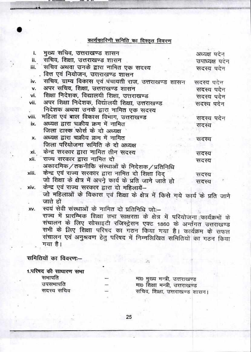## कार्यकारिणी समिति का विस्तृत विवरण

| i.    | मुख्य सचिव, उत्तराखण्ड शासन                                                     | अध्यक्ष पदेन   |
|-------|---------------------------------------------------------------------------------|----------------|
| ii.   | सचिव, शिक्षा, उत्तराखण्ड शासन                                                   | उपाध्यक्ष पदेन |
| iii.  | सचिव अथवा उनके द्वारा नामित एक सदस्य                                            | सदस्य पदेन     |
|       | वित्त एवं नियोजन, उत्तराखण्ड शासन                                               |                |
| iv.   | सचिव, ग्राम्य विकास एवं पंचायती राज, उत्तराखण्ड शासन                            | सदस्य पदेन     |
| v.    | अपर सचिव, शिक्षा, उत्तराखण्ड शासन                                               | सदस्य पदेन     |
| vi.   | शिक्षा निदेशक, विद्यालयी शिक्षा, उत्तराखण्ड                                     | सदस्य पदेन     |
| vii.  | अपर शिक्षा निदेशक, विद्यालयी शिक्षा, उत्तराखण्ड                                 | सदस्य पदेन     |
|       | निदेशक अथवा उनके द्वारा नामित एक सदस्य                                          |                |
| viii. | महिला एवं बाल विकास विभाग, उत्तराखण्ड                                           | सदस्य पदेन     |
| ix.   | अध्यक्ष द्वारा चक्रीय क्रम में नामित                                            | सदस्य          |
|       | जिला टास्क फोर्स के दो अध्यक्ष                                                  |                |
| x.    | अध्यक्ष द्वारा चक्रीय क्रम में नामित                                            | सदस्य          |
|       | जिला परियोजना समिति के दो अध्यक्ष                                               |                |
| xi.   | केन्द्र सरकार द्वारा नामित तीन सदस्य                                            | सदस्य          |
| xii.  | राज्य सरकार द्वारा नामित दो                                                     | सदस्य          |
|       | अकादमिक/तकनीकि संस्थाओं के निदेशक/प्रतिनिधि                                     |                |
| xiii. | केन्द्र एवं राज्य सरकार द्वारा नामित दो शिक्षा विद                              | सदस्य          |
|       | जो शिक्षा के क्षेत्र में अपने कार्य के प्रति जाने जाते हो                       | सदस्य          |
| xiv.  | केन्द्र एवं राज्य सरकार द्वारा दो महिलायें-                                     |                |
|       | जो महिलाओं के विकास एवं शिक्षा के क्षेत्र में किसे गये कार्य के प्रति जाने      |                |
|       | जाते हों                                                                        |                |
| XV.   | स्वयं सेवी संस्थाओं के नामित दो प्रतिनिधि जो:-                                  |                |
|       | राज्य में प्रारम्भिक शिक्षा तभा साक्षरता के क्षेत्र में परियोजना कार्यक्रमों के |                |
|       | संचालन के लिए सोसाइटी रजिस्ट्रेसन एक्ट 1860 के अर्न्तगत उत्तराखण्ड              |                |
|       | सभी के लिए शिक्षा परिषद का गठन किया गया है। कार्यक्रम के सफल                    |                |
|       | संचालन एवं अनुश्रवण हेतु परिषद में निम्नलिखित समितियों का गठन किया              |                |

गया है।

समितियों का विवरण:--

1.परिषद की साघारण सभा सभापति उपसमापति सदस्य सचिव

मा0 मुख्य मन्त्री, उत्तराखण्ड<br>मा0 शिक्षा मन्त्री, उत्तराखण्ड सचिव, शिक्षा, उत्तराखण्ड शासन।

 $\overline{\chi}$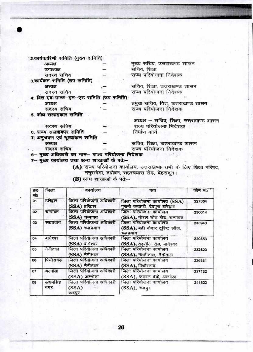· 2.कार्यकारिणी समिति (मुख्य समिति) मुख्य सचिव, उत्तराखण्ड शासन अध्यक्ष सचिव, शिक्षा उपाध्यक्ष सदस्य सचिव राज्य परियोजना निदेशक 3.कार्यक्रम समिति (उप समिति) सचिव, शिक्षा, उत्तराखण्ड शासन अध्यक्ष राज्य परियोजना निदेशक सदस्य सचिव 4. वित्त एवं ग्राण्ट-इन-एड समिति (उप समिति) प्रमुख सचिव, वित्त, उत्तराखण्ड शासन अध्यक्ष राज्य परियोजना निदेशक सदस्य सचिव 5. शोष सलाहकार समिति अध्यक्ष – सचिव, शिक्षा, उत्तराखण्ड शासन सदस्य सचिव राज्य परियोजना निदेशक 6. राज्य सलाहकार समिति निर्माण कार्य 7. अनुभवण एवं मूल्यांकन समिति सचिव, शिक्षा, उत्तराखण्ड शासन अध्यक्ष राज्य परियोजना निदेशक सदस्य सचिव 6- मुख्य अधिकारी का नाम- राज्य परियोजना निदेशक  $(19.27)$ 7— मुख्य कार्यालय तथा अन्य शाखाओं के पते:—

> (A) राज्य परियोजना कार्यालय, उत्तराखण्ड सभी के लिए शिक्षा परिषद, ननूरखेडा, तपोवन, सहस्त्रधारा रोड़, देहरादून।

| ক্ৰত<br>सं0    | जिला           | कार्यालय                                   | पता                                                                    | फोन नं0 |
|----------------|----------------|--------------------------------------------|------------------------------------------------------------------------|---------|
| 01             | हरिद्वार       | जिला परियोजना अधिकारी<br>(SSA) हरिद्वार    | जिला परियोजना कार्यालय (SSA)<br>पुरानी कथहरी, देवपुरा हरिद्वार         | 227384  |
| 02             | चम्पावत        | जिला परियोजना अधिकारी<br>(SSA) चम्पावत     | जिला परियोजना कार्यालय<br>(SSA), गोरल चौड़ रोड़, चम्पावत               | 230614  |
| C <sub>3</sub> | कदप्रयाग       | जिला परियोजना अधिकारी<br>(SSA) रूद्रप्रयाग | जिला परियोजना कार्यालय<br>(SSA), बदी केदार दूरिष्ट लॉज.<br>रूद्रप्रयाग | 233943  |
| 04             | बागेश्वर       | जिला परियोजना अधिकारी<br>(SSA) बागेश्वर    | जिला परियोजना कार्यालय<br>(SSA), तहसील रोड़, बागेश्वर                  | 220653  |
| 05             | नैनीताल        | जिला परियोजना अधिकारी<br>(SSA) नैनीताल     | जिला परियोजना कार्यालय<br>(SSA), मल्लीताल, नैनीताल                     | 232520  |
| O <sub>6</sub> | पिथोरागढ       | जिला परियोजना अधिकारी<br>(SSA) नैनीताल     | जिला परियोजना कार्यालय<br>(SSA), पिथौरागढ                              | 226881  |
| 07             | अल्मोडा        | जिला परियोजना अधिकारी<br>(SSA) अल्मोड़ा    | जिला परियोजना कार्यालय<br>(SSA), जाखन देवी, अल्मोड़ा                   | 237132  |
| 08             | ऊधमसिंह<br>नगर | जिला परियोजना अधिकारी<br>(SSA)<br>रूद्रपुर | जिला परियोजना कार्यालय<br>(SSA), रूद्रपुर                              | 241522  |

(B) अन्य शाखाओं के पते:--